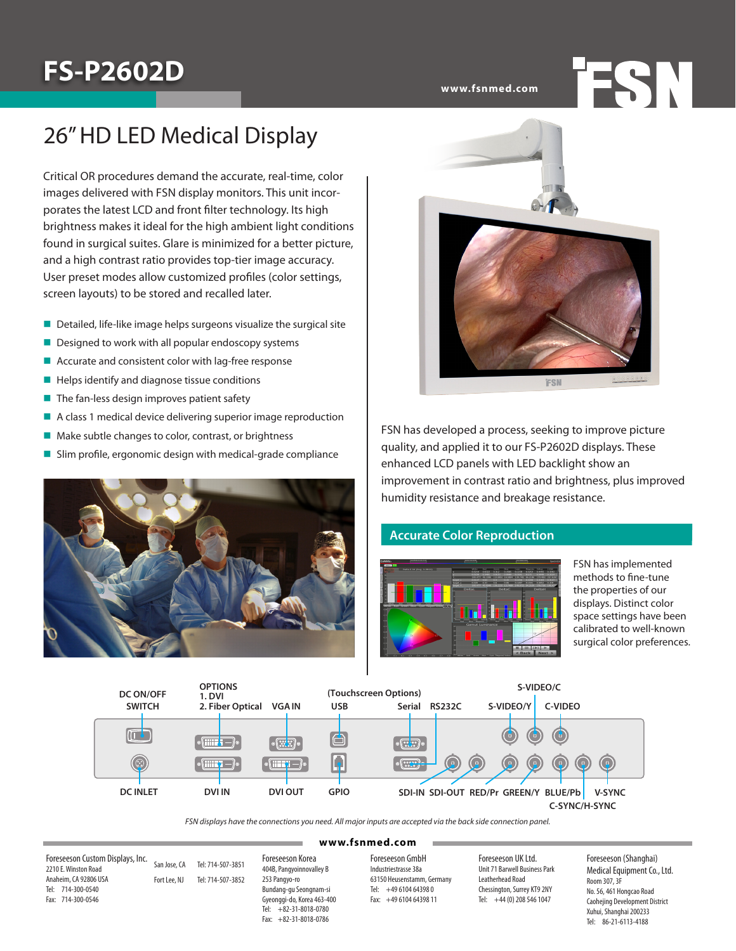# **FS-P2602D**

**www.fsnmed.com**

### 26" HD LED Medical Display

Critical OR procedures demand the accurate, real-time, color images delivered with FSN display monitors. This unit incorporates the latest LCD and front filter technology. Its high brightness makes it ideal for the high ambient light conditions found in surgical suites. Glare is minimized for a better picture, and a high contrast ratio provides top-tier image accuracy. User preset modes allow customized profiles (color settings, screen layouts) to be stored and recalled later.

- $\blacksquare$  Detailed, life-like image helps surgeons visualize the surgical site
- $\blacksquare$  Designed to work with all popular endoscopy systems
- $\blacksquare$  Accurate and consistent color with lag-free response
- $\blacksquare$  Helps identify and diagnose tissue conditions
- **n** The fan-less design improves patient safety
- **A** class 1 medical device delivering superior image reproduction  $\left| \right|$
- $\blacksquare$  Make subtle changes to color, contrast, or brightness
- $\blacksquare$  Slim profile, ergonomic design with medical-grade compliance





**RED/PRESS BLUE/PDI INC. In the bumidity resistance and breakage resistance.** FSN has developed a process, seeking to improve picture quality, and applied it to our FS-P2602D displays. These enhanced LCD panels with LED backlight show an improvement in contrast ratio and brightness, plus improved

### **Accurate Color Reproduction**



**EXAMPLE ASSESS** methods to fine-tune the properties of our displays. Distinct color space settings have been calibrated to well-known surgical color preferences.

**FSN** 



*FSN displays have the connections you need. All major inputs are accepted via the back side connection panel.*

#### **(Touchscreen Options) www.fsnmed.com**

Foreseeson Custom Displays, Inc. Tel: 7<br>Fax: 7 2210 E. Winston Road Anaheim, CA 92806 USA Tel: 714-300-0540 Fax: 714-300-0546

San Jose, CA Tel: 714-507-3851 Fort Lee, NJ Tel: 714-507-3852

**OPTIONS 1. DVI**

**DC** ON OFFICER

**2. Fiber Optical USB** Foreseeson Korea 404B, Pangyoinnovalley B 253 Pangyo-ro Bundang-gu Seongnam-si Gyeonggi-do, Korea 463-400 Tel: +82-31-8018-0780 Fax: +82-31-8018-0786

**Example 3** Foreseeson GmbH Industriestrasse 38a 63150 Heusenstamm, Germany Tel: +49 6104 64398 0 Fax: +49 6104 64398 11

Foreseeson UK Ltd. Unit 71 Barwell Business Park Leatherhead Road Chessington, Surrey KT9 2NY Tel: +44 (0) 208 546 1047

**S-VIDEO/C**

Foreseeson (Shanghai) Medical Equipment Co., Ltd. Room 307, 3F No. 56, 461 Hongcao Road Caohejing Development District Xuhui, Shanghai 200233 Tel: 86-21-6113-4188